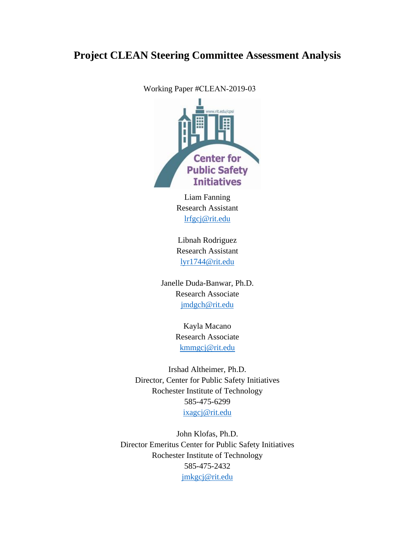# **Project CLEAN Steering Committee Assessment Analysis**

Working Paper #CLEAN-2019-03



Liam Fanning Research Assistant [lrfgcj@rit.edu](mailto:lrfgcj@rit.edu)

Libnah Rodriguez Research Assistant [lyr1744@rit.edu](mailto:lyr1744@rit.edu)

Janelle Duda-Banwar, Ph.D. Research Associate [jmdgch@rit.edu](mailto:jmdgch@rit.edu)

> Kayla Macano Research Associate [kmmgcj@rit.edu](mailto:kmmgcj@rit.edu)

Irshad Altheimer, Ph.D. Director, Center for Public Safety Initiatives Rochester Institute of Technology 585-475-6299 [ixagcj@rit.edu](mailto:ixagcj@rit.edu)

John Klofas, Ph.D. Director Emeritus Center for Public Safety Initiatives Rochester Institute of Technology 585-475-2432 [jmkgcj@rit.edu](mailto:jmkgcj@rit.edu)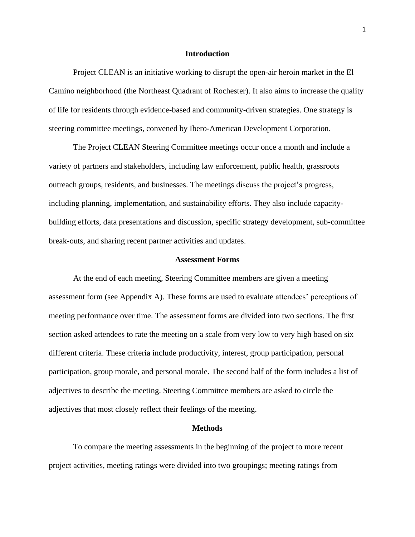### **Introduction**

Project CLEAN is an initiative working to disrupt the open-air heroin market in the El Camino neighborhood (the Northeast Quadrant of Rochester). It also aims to increase the quality of life for residents through evidence-based and community-driven strategies. One strategy is steering committee meetings, convened by Ibero-American Development Corporation.

The Project CLEAN Steering Committee meetings occur once a month and include a variety of partners and stakeholders, including law enforcement, public health, grassroots outreach groups, residents, and businesses. The meetings discuss the project's progress, including planning, implementation, and sustainability efforts. They also include capacitybuilding efforts, data presentations and discussion, specific strategy development, sub-committee break-outs, and sharing recent partner activities and updates.

### **Assessment Forms**

At the end of each meeting, Steering Committee members are given a meeting assessment form (see Appendix A). These forms are used to evaluate attendees' perceptions of meeting performance over time. The assessment forms are divided into two sections. The first section asked attendees to rate the meeting on a scale from very low to very high based on six different criteria. These criteria include productivity, interest, group participation, personal participation, group morale, and personal morale. The second half of the form includes a list of adjectives to describe the meeting. Steering Committee members are asked to circle the adjectives that most closely reflect their feelings of the meeting.

#### **Methods**

To compare the meeting assessments in the beginning of the project to more recent project activities, meeting ratings were divided into two groupings; meeting ratings from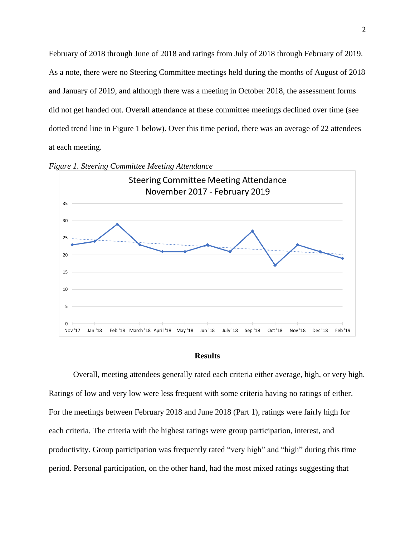February of 2018 through June of 2018 and ratings from July of 2018 through February of 2019. As a note, there were no Steering Committee meetings held during the months of August of 2018 and January of 2019, and although there was a meeting in October 2018, the assessment forms did not get handed out. Overall attendance at these committee meetings declined over time (see dotted trend line in Figure 1 below). Over this time period, there was an average of 22 attendees at each meeting.



*Figure 1. Steering Committee Meeting Attendance* 

## **Results**

Overall, meeting attendees generally rated each criteria either average, high, or very high. Ratings of low and very low were less frequent with some criteria having no ratings of either. For the meetings between February 2018 and June 2018 (Part 1), ratings were fairly high for each criteria. The criteria with the highest ratings were group participation, interest, and productivity. Group participation was frequently rated "very high" and "high" during this time period. Personal participation, on the other hand, had the most mixed ratings suggesting that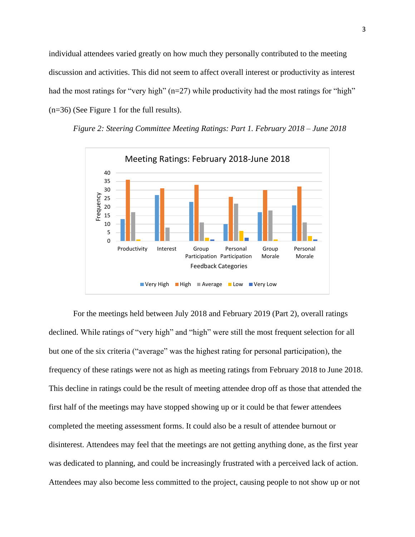individual attendees varied greatly on how much they personally contributed to the meeting discussion and activities. This did not seem to affect overall interest or productivity as interest had the most ratings for "very high" (n=27) while productivity had the most ratings for "high" (n=36) (See Figure 1 for the full results).



*Figure 2: Steering Committee Meeting Ratings: Part 1. February 2018 – June 2018*

For the meetings held between July 2018 and February 2019 (Part 2), overall ratings declined. While ratings of "very high" and "high" were still the most frequent selection for all but one of the six criteria ("average" was the highest rating for personal participation), the frequency of these ratings were not as high as meeting ratings from February 2018 to June 2018. This decline in ratings could be the result of meeting attendee drop off as those that attended the first half of the meetings may have stopped showing up or it could be that fewer attendees completed the meeting assessment forms. It could also be a result of attendee burnout or disinterest. Attendees may feel that the meetings are not getting anything done, as the first year was dedicated to planning, and could be increasingly frustrated with a perceived lack of action. Attendees may also become less committed to the project, causing people to not show up or not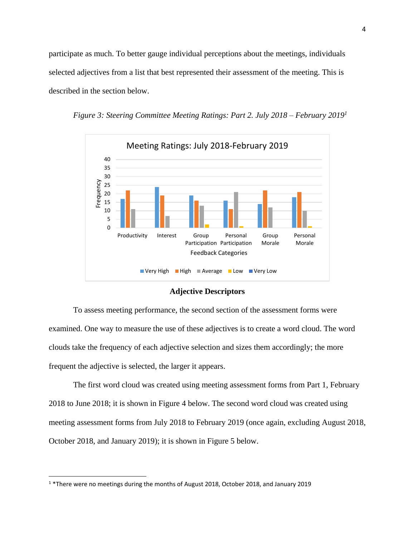participate as much. To better gauge individual perceptions about the meetings, individuals selected adjectives from a list that best represented their assessment of the meeting. This is described in the section below.





**Adjective Descriptors**

To assess meeting performance, the second section of the assessment forms were examined. One way to measure the use of these adjectives is to create a word cloud. The word clouds take the frequency of each adjective selection and sizes them accordingly; the more frequent the adjective is selected, the larger it appears.

The first word cloud was created using meeting assessment forms from Part 1, February 2018 to June 2018; it is shown in Figure 4 below. The second word cloud was created using meeting assessment forms from July 2018 to February 2019 (once again, excluding August 2018, October 2018, and January 2019); it is shown in Figure 5 below.

 $\overline{a}$ 

<sup>1</sup> \*There were no meetings during the months of August 2018, October 2018, and January 2019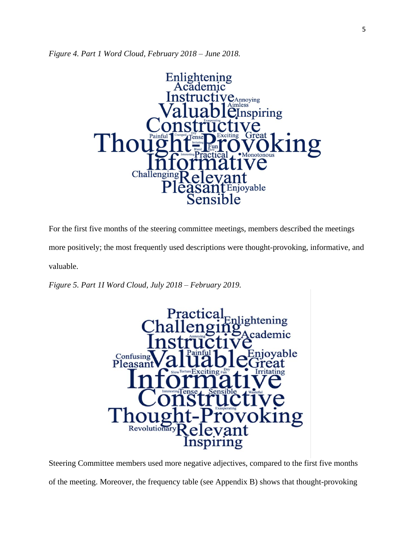*Figure 4. Part 1 Word Cloud, February 2018 – June 2018.* 



For the first five months of the steering committee meetings, members described the meetings

more positively; the most frequently used descriptions were thought-provoking, informative, and

valuable.

*Figure 5. Part 1I Word Cloud, July 2018 – February 2019.* 



Steering Committee members used more negative adjectives, compared to the first five months of the meeting. Moreover, the frequency table (see Appendix B) shows that thought-provoking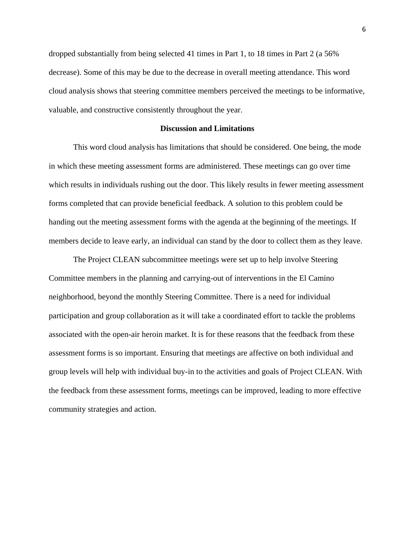dropped substantially from being selected 41 times in Part 1, to 18 times in Part 2 (a 56% decrease). Some of this may be due to the decrease in overall meeting attendance. This word cloud analysis shows that steering committee members perceived the meetings to be informative, valuable, and constructive consistently throughout the year.

### **Discussion and Limitations**

This word cloud analysis has limitations that should be considered. One being, the mode in which these meeting assessment forms are administered. These meetings can go over time which results in individuals rushing out the door. This likely results in fewer meeting assessment forms completed that can provide beneficial feedback. A solution to this problem could be handing out the meeting assessment forms with the agenda at the beginning of the meetings. If members decide to leave early, an individual can stand by the door to collect them as they leave.

The Project CLEAN subcommittee meetings were set up to help involve Steering Committee members in the planning and carrying-out of interventions in the El Camino neighborhood, beyond the monthly Steering Committee. There is a need for individual participation and group collaboration as it will take a coordinated effort to tackle the problems associated with the open-air heroin market. It is for these reasons that the feedback from these assessment forms is so important. Ensuring that meetings are affective on both individual and group levels will help with individual buy-in to the activities and goals of Project CLEAN. With the feedback from these assessment forms, meetings can be improved, leading to more effective community strategies and action.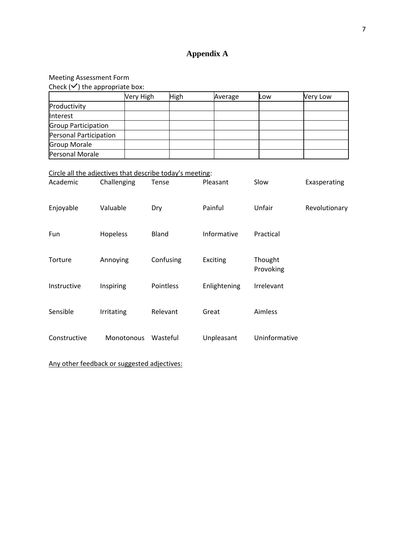# **Appendix A**

# Meeting Assessment Form

| Check $(\checkmark)$ the appropriate box: |           |             |         |     |          |  |
|-------------------------------------------|-----------|-------------|---------|-----|----------|--|
|                                           | Very High | <b>High</b> | Average | Low | Very Low |  |
| Productivity                              |           |             |         |     |          |  |
| <b>Interest</b>                           |           |             |         |     |          |  |
| <b>Group Participation</b>                |           |             |         |     |          |  |
| Personal Participation                    |           |             |         |     |          |  |
| <b>Group Morale</b>                       |           |             |         |     |          |  |
| Personal Morale                           |           |             |         |     |          |  |

# Circle all the adjectives that describe today's meeting:

| Academic     | Challenging       | Tense     | Pleasant     | Slow                 | Exasperating  |
|--------------|-------------------|-----------|--------------|----------------------|---------------|
| Enjoyable    | Valuable          | Dry       | Painful      | Unfair               | Revolutionary |
| <b>Fun</b>   | Hopeless          | Bland     | Informative  | Practical            |               |
| Torture      | Annoying          | Confusing | Exciting     | Thought<br>Provoking |               |
| Instructive  | Inspiring         | Pointless | Enlightening | Irrelevant           |               |
| Sensible     | Irritating        | Relevant  | Great        | Aimless              |               |
| Constructive | <b>Monotonous</b> | Wasteful  | Unpleasant   | Uninformative        |               |

Any other feedback or suggested adjectives: